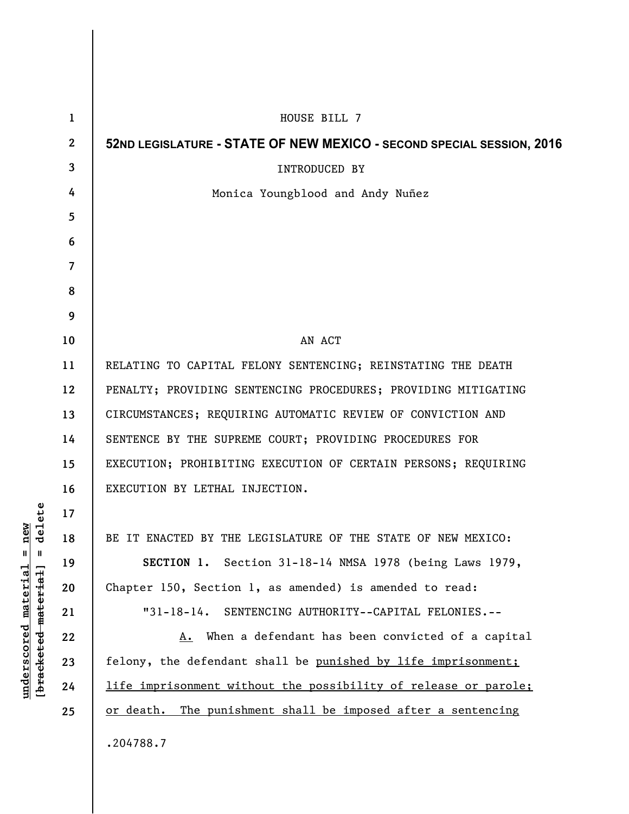| $\mathbf{1}$             | HOUSE BILL 7                                                          |
|--------------------------|-----------------------------------------------------------------------|
| $\mathbf{2}$             | 52ND LEGISLATURE - STATE OF NEW MEXICO - SECOND SPECIAL SESSION, 2016 |
| 3                        | <b>INTRODUCED BY</b>                                                  |
| 4                        | Monica Youngblood and Andy Nuñez                                      |
| 5                        |                                                                       |
| 6                        |                                                                       |
| $\overline{\mathcal{L}}$ |                                                                       |
| 8                        |                                                                       |
| 9                        |                                                                       |
| 10                       | AN ACT                                                                |
| 11                       | RELATING TO CAPITAL FELONY SENTENCING; REINSTATING THE DEATH          |
| 12                       | PENALTY; PROVIDING SENTENCING PROCEDURES; PROVIDING MITIGATING        |
| 13                       | CIRCUMSTANCES; REQUIRING AUTOMATIC REVIEW OF CONVICTION AND           |
| 14                       | SENTENCE BY THE SUPREME COURT; PROVIDING PROCEDURES FOR               |
| 15                       | EXECUTION; PROHIBITING EXECUTION OF CERTAIN PERSONS; REQUIRING        |
| 16                       | EXECUTION BY LETHAL INJECTION.                                        |
| 17                       |                                                                       |
| 18                       | BE IT ENACTED BY THE LEGISLATURE OF THE STATE OF NEW MEXICO:          |
| 19                       | SECTION 1. Section 31-18-14 NMSA 1978 (being Laws 1979,               |
| 20                       | Chapter 150, Section 1, as amended) is amended to read:               |
| 21                       | "31-18-14. SENTENCING AUTHORITY--CAPITAL FELONIES.--                  |
| 22                       | A. When a defendant has been convicted of a capital                   |
| 23                       | felony, the defendant shall be punished by life imprisonment;         |
| 24                       | life imprisonment without the possibility of release or parole;       |
| 25                       | or death. The punishment shall be imposed after a sentencing          |
|                          | .204788.7                                                             |

 $[**bracket eted metert et**] = **del et e**$ **[bracketed material] = delete**  $underscored material = new$ **underscored material = new**

I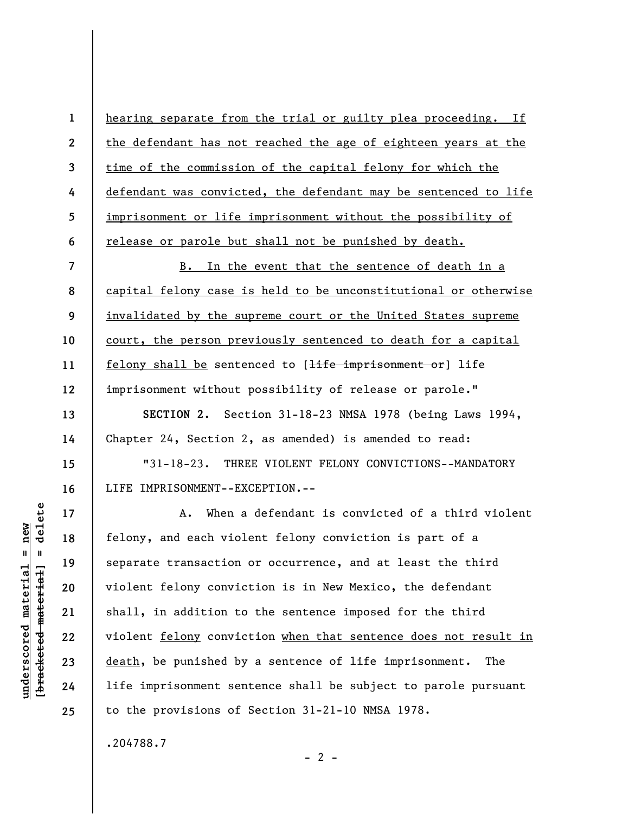hearing separate from the trial or guilty plea proceeding. If the defendant has not reached the age of eighteen years at the time of the commission of the capital felony for which the defendant was convicted, the defendant may be sentenced to life imprisonment or life imprisonment without the possibility of release or parole but shall not be punished by death.

**7 8 9 10 11 12**  B. In the event that the sentence of death in a capital felony case is held to be unconstitutional or otherwise invalidated by the supreme court or the United States supreme court, the person previously sentenced to death for a capital felony shall be sentenced to [<del>life imprisonment or</del>] life imprisonment without possibility of release or parole."

**SECTION 2.** Section 31-18-23 NMSA 1978 (being Laws 1994, Chapter 24, Section 2, as amended) is amended to read:

"31-18-23. THREE VIOLENT FELONY CONVICTIONS--MANDATORY LIFE IMPRISONMENT--EXCEPTION.--

A. When a defendant is convicted of a third violent felony, and each violent felony conviction is part of a separate transaction or occurrence, and at least the third violent felony conviction is in New Mexico, the defendant shall, in addition to the sentence imposed for the third violent felony conviction when that sentence does not result in death, be punished by a sentence of life imprisonment. The life imprisonment sentence shall be subject to parole pursuant to the provisions of Section 31-21-10 NMSA 1978.

.204788.7

delete **[bracketed material] = delete**  $anderscored material = new$ **underscored material = new**  $\mathbf{I}$ bracketed material

**1** 

**2** 

**3** 

**4** 

**5** 

**6** 

**13** 

**14** 

**15** 

**16** 

**17** 

**18** 

**19** 

**20** 

**21** 

**22** 

**23** 

**24** 

**25** 

 $- 2 -$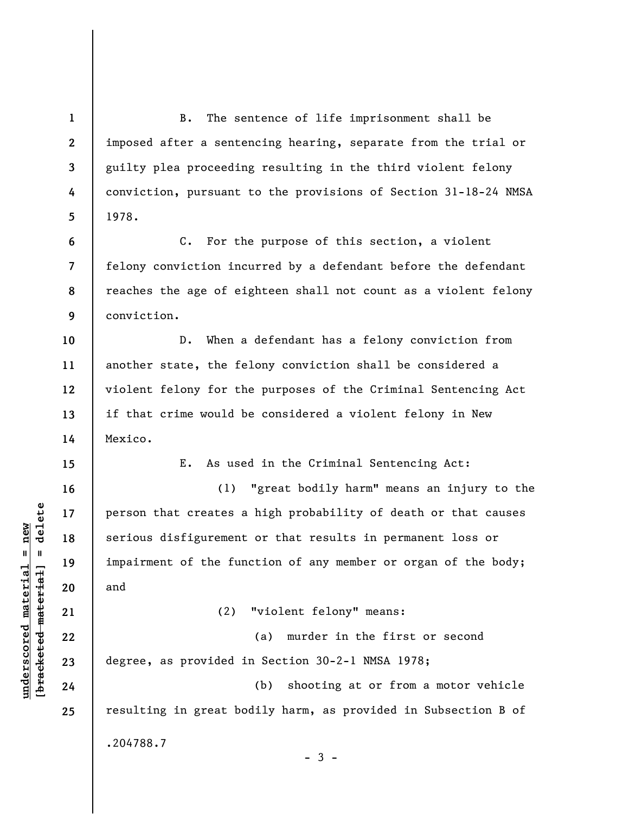**1 2 3 4 5 6 7 8 9 10 11 12 13 14 15 16 17 18 19 20 21 22 23 24 25**  B. The sentence of life imprisonment shall be imposed after a sentencing hearing, separate from the trial or guilty plea proceeding resulting in the third violent felony conviction, pursuant to the provisions of Section 31-18-24 NMSA 1978. C. For the purpose of this section, a violent felony conviction incurred by a defendant before the defendant reaches the age of eighteen shall not count as a violent felony conviction. D. When a defendant has a felony conviction from another state, the felony conviction shall be considered a violent felony for the purposes of the Criminal Sentencing Act if that crime would be considered a violent felony in New Mexico. E. As used in the Criminal Sentencing Act: (1) "great bodily harm" means an injury to the person that creates a high probability of death or that causes serious disfigurement or that results in permanent loss or impairment of the function of any member or organ of the body; and (2) "violent felony" means: (a) murder in the first or second degree, as provided in Section 30-2-1 NMSA 1978; (b) shooting at or from a motor vehicle resulting in great bodily harm, as provided in Subsection B of .204788.7  $-3 -$ 

 $\frac{1}{2}$  intereted material = delete **[bracketed material] = delete**  $underscored material = new$ **underscored material = new**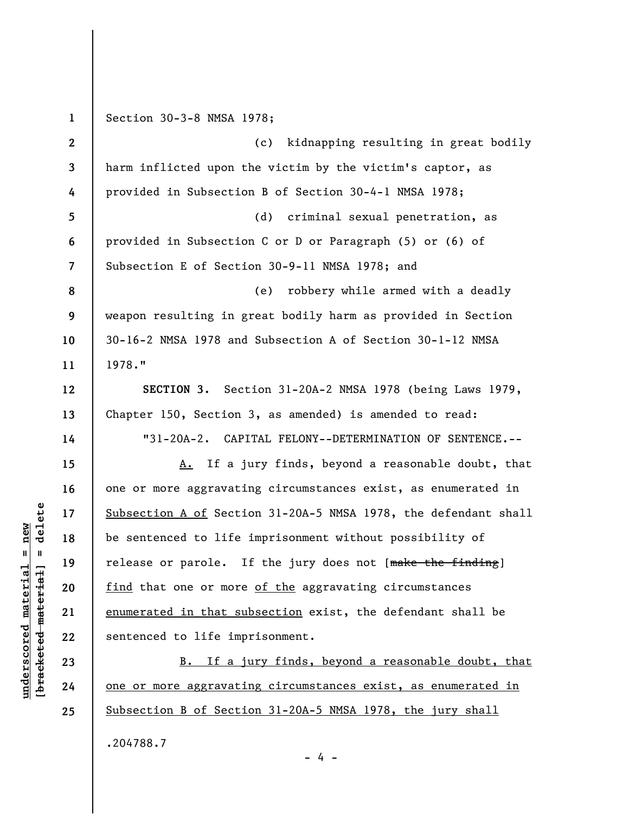**1 2 3 4 5 6 7 8 9 10 11 12 13 14 15 16 17 18 19 20 21 22 23 24 25**  Section 30-3-8 NMSA 1978; (c) kidnapping resulting in great bodily harm inflicted upon the victim by the victim's captor, as provided in Subsection B of Section 30-4-1 NMSA 1978; (d) criminal sexual penetration, as provided in Subsection C or D or Paragraph (5) or (6) of Subsection E of Section 30-9-11 NMSA 1978; and (e) robbery while armed with a deadly weapon resulting in great bodily harm as provided in Section 30-16-2 NMSA 1978 and Subsection A of Section 30-1-12 NMSA 1978." **SECTION 3.** Section 31-20A-2 NMSA 1978 (being Laws 1979, Chapter 150, Section 3, as amended) is amended to read: "31-20A-2. CAPITAL FELONY--DETERMINATION OF SENTENCE.-- A. If a jury finds, beyond a reasonable doubt, that one or more aggravating circumstances exist, as enumerated in Subsection A of Section 31-20A-5 NMSA 1978, the defendant shall be sentenced to life imprisonment without possibility of release or parole. If the jury does not [make the finding] find that one or more of the aggravating circumstances enumerated in that subsection exist, the defendant shall be sentenced to life imprisonment. B. If a jury finds, beyond a reasonable doubt, that one or more aggravating circumstances exist, as enumerated in Subsection B of Section 31-20A-5 NMSA 1978, the jury shall .204788.7

delete **[bracketed material] = delete**  $underscored material = new$ **underscored material = new**  $\mathbf{u}$ bracketed material

- 4 -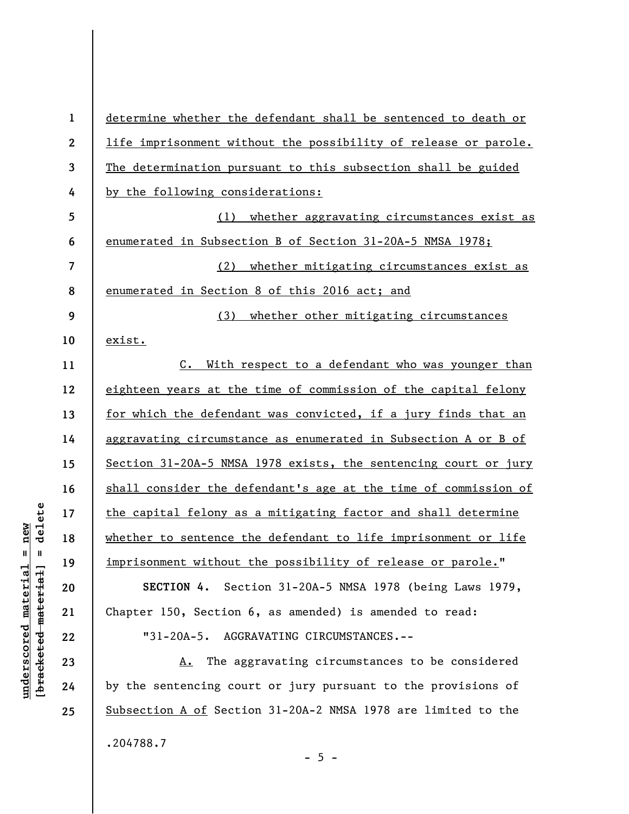| $\mathbf 1$      | determine whether the defendant shall be sentenced to death or    |
|------------------|-------------------------------------------------------------------|
| $\boldsymbol{2}$ | life imprisonment without the possibility of release or parole.   |
| 3                | The determination pursuant to this subsection shall be guided     |
| 4                | by the following considerations:                                  |
| 5                | (1) whether aggravating circumstances exist as                    |
| 6                | enumerated in Subsection B of Section 31-20A-5 NMSA 1978;         |
| 7                | whether mitigating circumstances exist as<br>(2)                  |
| 8                | enumerated in Section 8 of this 2016 act; and                     |
| 9                | (3)<br>whether other mitigating circumstances                     |
| 10               | exist.                                                            |
| 11               | With respect to a defendant who was younger than<br>$c_{\bullet}$ |
| 12               | eighteen years at the time of commission of the capital felony    |
| 13               | for which the defendant was convicted, if a jury finds that an    |
| 14               | aggravating circumstance as enumerated in Subsection A or B of    |
| 15               | Section 31-20A-5 NMSA 1978 exists, the sentencing court or jury   |
| 16               | shall consider the defendant's age at the time of commission of   |
| 17               | the capital felony as a mitigating factor and shall determine     |
| 18               | whether to sentence the defendant to life imprisonment or life    |
| 19               | imprisonment without the possibility of release or parole."       |
| 20               | SECTION 4. Section 31-20A-5 NMSA 1978 (being Laws 1979,           |
| 21               | Chapter 150, Section 6, as amended) is amended to read:           |
| 22               | "31-20A-5. AGGRAVATING CIRCUMSTANCES.--                           |
| 23               | The aggravating circumstances to be considered<br>A.              |
| 24               | by the sentencing court or jury pursuant to the provisions of     |
| 25               | Subsection A of Section 31-20A-2 NMSA 1978 are limited to the     |
|                  | .204788.7<br>$-5 -$                                               |

 $[**bracket eted metert et**] = **del et e**$ **[bracketed material] = delete**  $underscored material = new$ **underscored material = new**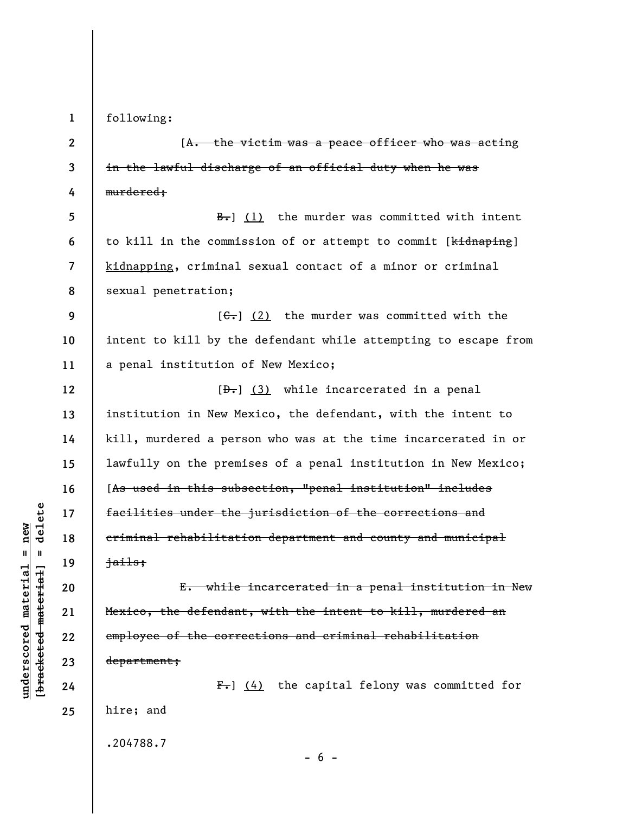**1** 

following:

**2 3 4 5 6 7 8 9 10 11 12 13 14 15 16 17 18 19 20 21 22 23 24 25**  [A. the victim was a peace officer who was acting in the lawful discharge of an official duty when he was murdered;  $\frac{B-1}{B}$  (1) the murder was committed with intent to kill in the commission of or attempt to commit [kidnaping] kidnapping, criminal sexual contact of a minor or criminal sexual penetration;  $[G<sub>1</sub>]$  (2) the murder was committed with the intent to kill by the defendant while attempting to escape from a penal institution of New Mexico;  $[\frac{1}{2} \cdot \frac{1}{3}]$  while incarcerated in a penal institution in New Mexico, the defendant, with the intent to kill, murdered a person who was at the time incarcerated in or lawfully on the premises of a penal institution in New Mexico; [As used in this subsection, "penal institution" includes facilities under the jurisdiction of the corrections and criminal rehabilitation department and county and municipal jails; E. while incarcerated in a penal institution in New Mexico, the defendant, with the intent to kill, murdered an employee of the corrections and criminal rehabilitation department;  $F-$ ] (4) the capital felony was committed for hire; and .204788.7

 $b$ racketed material] = delete **[bracketed material] = delete**  $underscored material = new$ **underscored material = new**

 $- 6 -$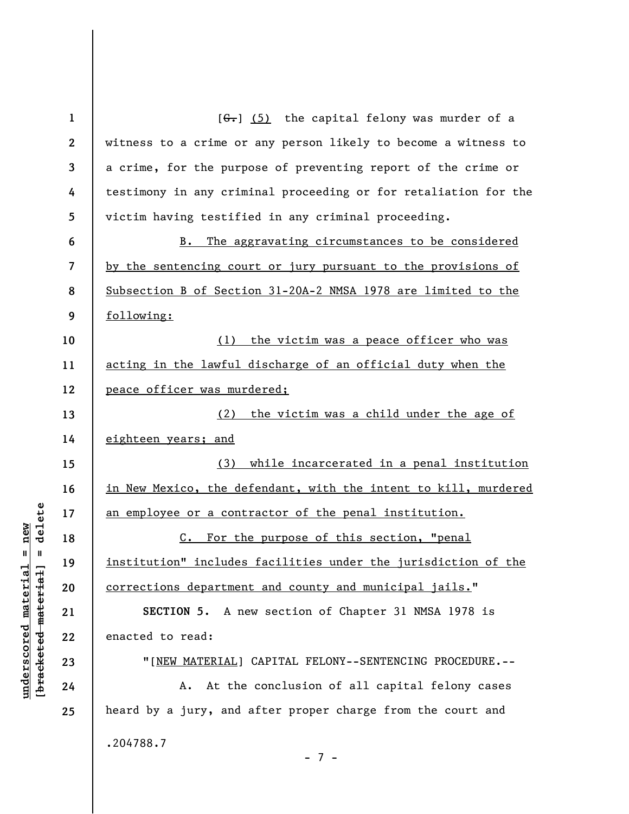| $\mathbf{1}$ | $[6-]$ (5) the capital felony was murder of a                   |
|--------------|-----------------------------------------------------------------|
| $\mathbf{2}$ | witness to a crime or any person likely to become a witness to  |
| 3            | a crime, for the purpose of preventing report of the crime or   |
| 4            | testimony in any criminal proceeding or for retaliation for the |
| 5            | victim having testified in any criminal proceeding.             |
| 6            | The aggravating circumstances to be considered<br>B.            |
| 7            | by the sentencing court or jury pursuant to the provisions of   |
| 8            | Subsection B of Section 31-20A-2 NMSA 1978 are limited to the   |
| 9            | following:                                                      |
| 10           | (1) the victim was a peace officer who was                      |
| 11           | acting in the lawful discharge of an official duty when the     |
| 12           | peace officer was murdered;                                     |
| 13           | the victim was a child under the age of<br>(2)                  |
| 14           | eighteen years; and                                             |
| 15           | (3) while incarcerated in a penal institution                   |
| 16           | in New Mexico, the defendant, with the intent to kill, murdered |
| 17           | an employee or a contractor of the penal institution.           |
| 18           | For the purpose of this section, "penal<br>$c_{\bullet}$        |
| 19           | institution" includes facilities under the jurisdiction of the  |
| 20           | <u>corrections department and county and municipal jails.</u> " |
| 21           | SECTION 5. A new section of Chapter 31 NMSA 1978 is             |
| 22           | enacted to read:                                                |
| 23           | "[NEW MATERIAL] CAPITAL FELONY--SENTENCING PROCEDURE.--         |
| 24           | At the conclusion of all capital felony cases<br>A.             |
| 25           | heard by a jury, and after proper charge from the court and     |
|              | .204788.7<br>- 7 -                                              |

 $[**bracket eted metert et**] = **del et e**$ **[bracketed material] = delete**  $underscored material = new$ **underscored material = new**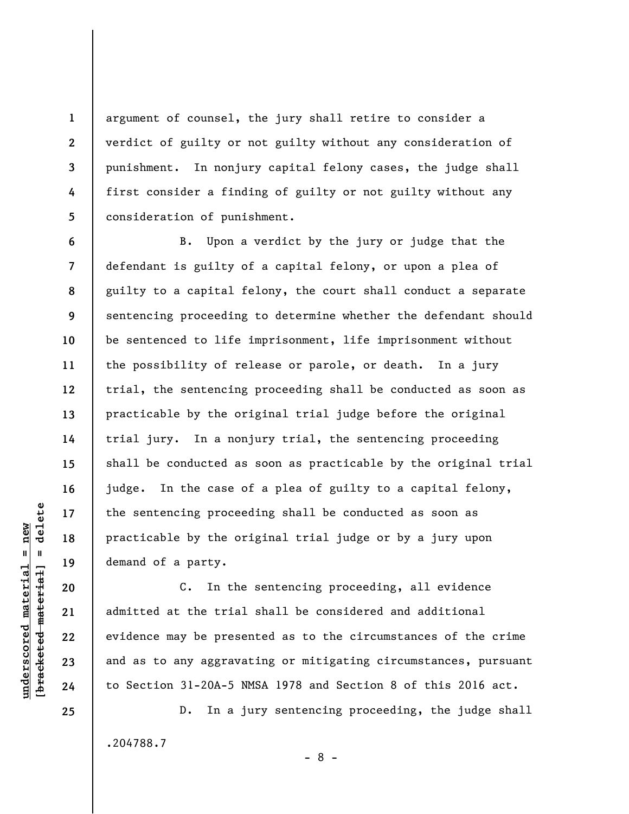argument of counsel, the jury shall retire to consider a verdict of guilty or not guilty without any consideration of punishment. In nonjury capital felony cases, the judge shall first consider a finding of guilty or not guilty without any consideration of punishment.

**8**  B. Upon a verdict by the jury or judge that the defendant is guilty of a capital felony, or upon a plea of guilty to a capital felony, the court shall conduct a separate sentencing proceeding to determine whether the defendant should be sentenced to life imprisonment, life imprisonment without the possibility of release or parole, or death. In a jury trial, the sentencing proceeding shall be conducted as soon as practicable by the original trial judge before the original trial jury. In a nonjury trial, the sentencing proceeding shall be conducted as soon as practicable by the original trial judge. In the case of a plea of guilty to a capital felony, the sentencing proceeding shall be conducted as soon as practicable by the original trial judge or by a jury upon demand of a party.

C. In the sentencing proceeding, all evidence admitted at the trial shall be considered and additional evidence may be presented as to the circumstances of the crime and as to any aggravating or mitigating circumstances, pursuant to Section 31-20A-5 NMSA 1978 and Section 8 of this 2016 act.

D. In a jury sentencing proceeding, the judge shall .204788.7 - 8 -

 $\frac{1}{2}$  of  $\frac{1}{2}$  and  $\frac{1}{2}$  and  $\frac{1}{2}$  and  $\frac{1}{2}$  and  $\frac{1}{2}$  and  $\frac{1}{2}$  and  $\frac{1}{2}$  and  $\frac{1}{2}$  and  $\frac{1}{2}$  and  $\frac{1}{2}$  and  $\frac{1}{2}$  and  $\frac{1}{2}$  and  $\frac{1}{2}$  and  $\frac{1}{2}$  and  $\frac{1}{2}$  an **[bracketed material] = delete**  $underscored material = new$ **underscored material = new**

**1** 

**2** 

**3** 

**4** 

**5** 

**6** 

**7** 

**9** 

**10** 

**11** 

**12** 

**13** 

**14** 

**15** 

**16** 

**17** 

**18** 

**19** 

**20** 

**21** 

**22** 

**23** 

**24**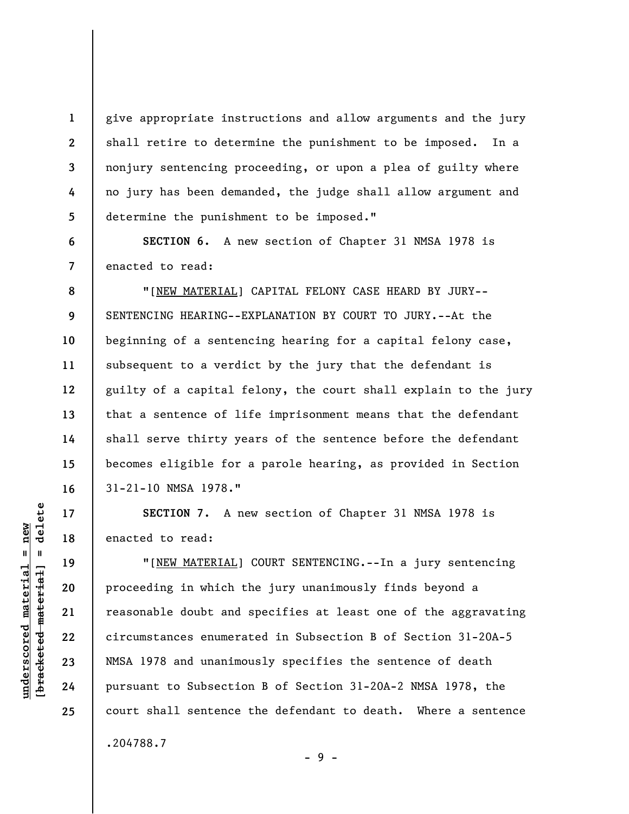give appropriate instructions and allow arguments and the jury shall retire to determine the punishment to be imposed. In a nonjury sentencing proceeding, or upon a plea of guilty where no jury has been demanded, the judge shall allow argument and determine the punishment to be imposed."

**6 7 SECTION 6.** A new section of Chapter 31 NMSA 1978 is enacted to read:

**8 9 10 11 12 13 14 15 16**  "[NEW MATERIAL] CAPITAL FELONY CASE HEARD BY JURY-- SENTENCING HEARING--EXPLANATION BY COURT TO JURY.--At the beginning of a sentencing hearing for a capital felony case, subsequent to a verdict by the jury that the defendant is guilty of a capital felony, the court shall explain to the jury that a sentence of life imprisonment means that the defendant shall serve thirty years of the sentence before the defendant becomes eligible for a parole hearing, as provided in Section 31-21-10 NMSA 1978."

**SECTION 7.** A new section of Chapter 31 NMSA 1978 is enacted to read:

"[NEW MATERIAL] COURT SENTENCING.--In a jury sentencing proceeding in which the jury unanimously finds beyond a reasonable doubt and specifies at least one of the aggravating circumstances enumerated in Subsection B of Section 31-20A-5 NMSA 1978 and unanimously specifies the sentence of death pursuant to Subsection B of Section 31-20A-2 NMSA 1978, the court shall sentence the defendant to death. Where a sentence .204788.7

 $\frac{1}{2}$  of  $\frac{1}{2}$  and  $\frac{1}{2}$  and  $\frac{1}{2}$  and  $\frac{1}{2}$  and  $\frac{1}{2}$  and  $\frac{1}{2}$  and  $\frac{1}{2}$  and  $\frac{1}{2}$  and  $\frac{1}{2}$  and  $\frac{1}{2}$  and  $\frac{1}{2}$  and  $\frac{1}{2}$  and  $\frac{1}{2}$  and  $\frac{1}{2}$  and  $\frac{1}{2}$  an **[bracketed material] = delete**  $underscored material = new$ **underscored material = new**

**17** 

**18** 

**19** 

**20** 

**21** 

**22** 

**23** 

**24** 

**25** 

**1** 

**2** 

**3** 

**4** 

**5** 

- 9 -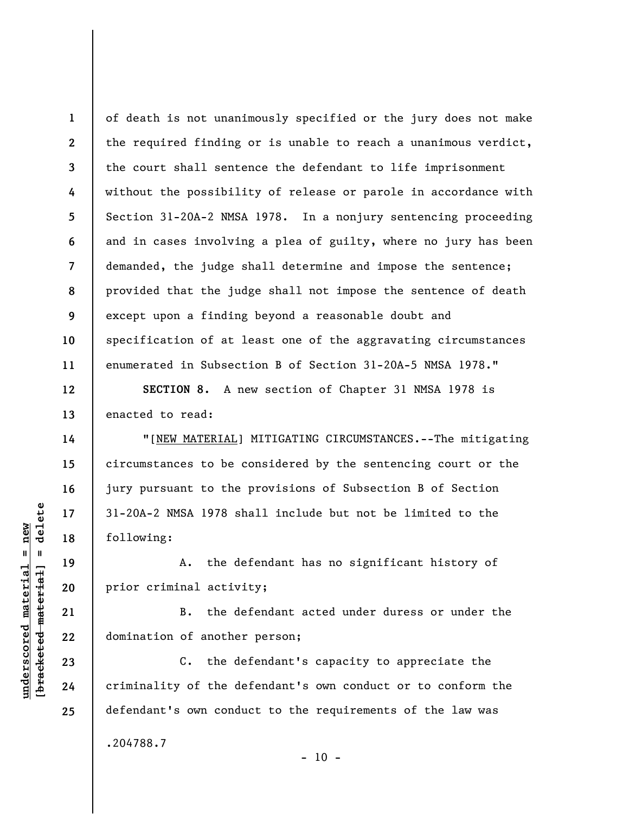**1 2 3 4 5 6 7 8 9 10 11**  of death is not unanimously specified or the jury does not make the required finding or is unable to reach a unanimous verdict, the court shall sentence the defendant to life imprisonment without the possibility of release or parole in accordance with Section 31-20A-2 NMSA 1978. In a nonjury sentencing proceeding and in cases involving a plea of guilty, where no jury has been demanded, the judge shall determine and impose the sentence; provided that the judge shall not impose the sentence of death except upon a finding beyond a reasonable doubt and specification of at least one of the aggravating circumstances enumerated in Subsection B of Section 31-20A-5 NMSA 1978."

**SECTION 8.** A new section of Chapter 31 NMSA 1978 is enacted to read:

"[NEW MATERIAL] MITIGATING CIRCUMSTANCES.--The mitigating circumstances to be considered by the sentencing court or the jury pursuant to the provisions of Subsection B of Section 31-20A-2 NMSA 1978 shall include but not be limited to the following:

A. the defendant has no significant history of prior criminal activity;

B. the defendant acted under duress or under the domination of another person;

C. the defendant's capacity to appreciate the criminality of the defendant's own conduct or to conform the defendant's own conduct to the requirements of the law was .204788.7

 $\frac{1}{2}$  intereted material = delete **[bracketed material] = delete**  $underscored material = new$ **underscored material = new**

**12** 

**13** 

**14** 

**15** 

**16** 

**17** 

**18** 

**19** 

**20** 

**21** 

**22** 

**23** 

**24** 

**25** 

 $- 10 -$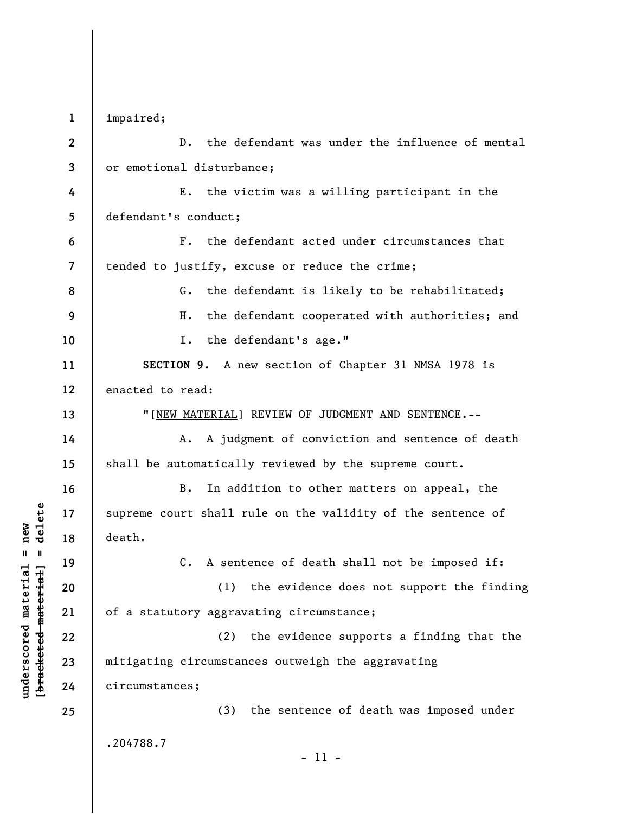**1 2 3 4 5 6 7 8 9 10 11 12 13 14 15 16 17 18 19 20 21 22 23 24 25**  impaired; D. the defendant was under the influence of mental or emotional disturbance; E. the victim was a willing participant in the defendant's conduct; F. the defendant acted under circumstances that tended to justify, excuse or reduce the crime; G. the defendant is likely to be rehabilitated; H. the defendant cooperated with authorities; and I. the defendant's age." **SECTION 9.** A new section of Chapter 31 NMSA 1978 is enacted to read: "[NEW MATERIAL] REVIEW OF JUDGMENT AND SENTENCE.-- A. A judgment of conviction and sentence of death shall be automatically reviewed by the supreme court. B. In addition to other matters on appeal, the supreme court shall rule on the validity of the sentence of death. C. A sentence of death shall not be imposed if: (1) the evidence does not support the finding of a statutory aggravating circumstance; (2) the evidence supports a finding that the mitigating circumstances outweigh the aggravating circumstances; (3) the sentence of death was imposed under .204788.7 - 11 -

**underscored material = new [bracketed material] = delete**

 $b$ racketed material] = delete  $underscored material = new$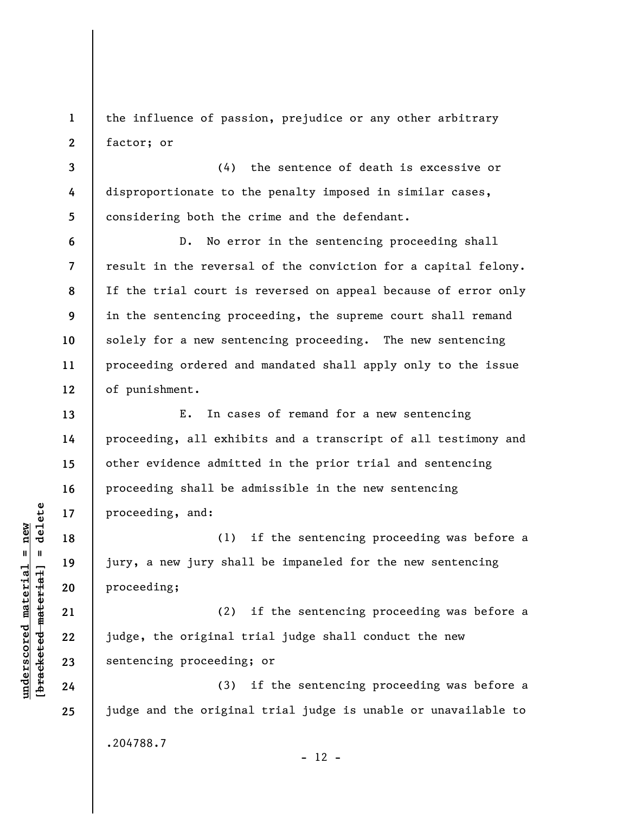**1 2**  the influence of passion, prejudice or any other arbitrary factor; or

**3 4 5**  (4) the sentence of death is excessive or disproportionate to the penalty imposed in similar cases, considering both the crime and the defendant.

D. No error in the sentencing proceeding shall result in the reversal of the conviction for a capital felony. If the trial court is reversed on appeal because of error only in the sentencing proceeding, the supreme court shall remand solely for a new sentencing proceeding. The new sentencing proceeding ordered and mandated shall apply only to the issue of punishment.

E. In cases of remand for a new sentencing proceeding, all exhibits and a transcript of all testimony and other evidence admitted in the prior trial and sentencing proceeding shall be admissible in the new sentencing proceeding, and:

(1) if the sentencing proceeding was before a jury, a new jury shall be impaneled for the new sentencing proceeding;

(2) if the sentencing proceeding was before a judge, the original trial judge shall conduct the new sentencing proceeding; or

(3) if the sentencing proceeding was before a judge and the original trial judge is unable or unavailable to .204788.7  $- 12 -$ 

 $\frac{1}{2}$  intereted material = delete **[bracketed material] = delete**  $underscored material = new$ **underscored material = new**

**6** 

**7** 

**8** 

**9** 

**10** 

**11** 

**12** 

**13** 

**14** 

**15** 

**16** 

**17** 

**18** 

**19** 

**20** 

**21** 

**22** 

**23** 

**24**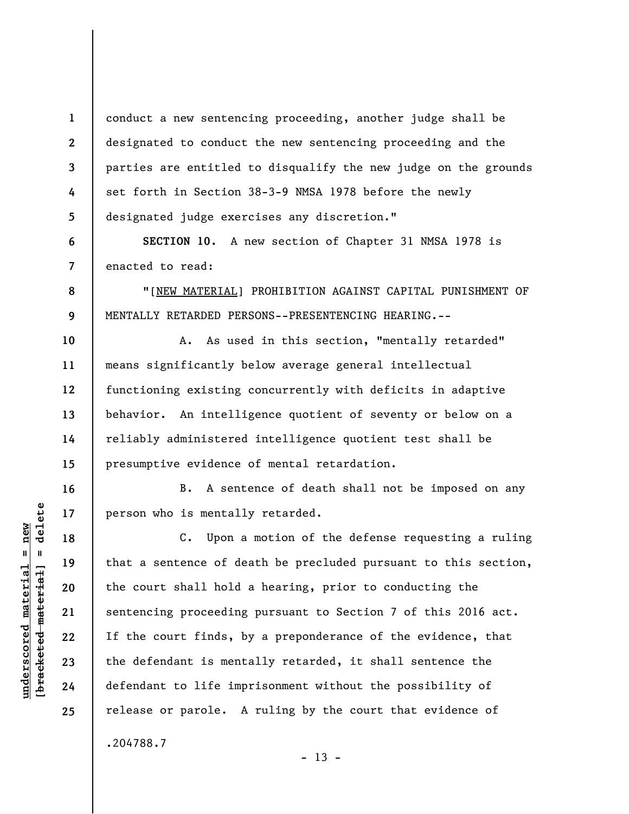conduct a new sentencing proceeding, another judge shall be designated to conduct the new sentencing proceeding and the parties are entitled to disqualify the new judge on the grounds set forth in Section 38-3-9 NMSA 1978 before the newly designated judge exercises any discretion."

**6 7 SECTION 10.** A new section of Chapter 31 NMSA 1978 is enacted to read:

"[NEW MATERIAL] PROHIBITION AGAINST CAPITAL PUNISHMENT OF MENTALLY RETARDED PERSONS--PRESENTENCING HEARING.--

**10 11 12 13 14 15**  A. As used in this section, "mentally retarded" means significantly below average general intellectual functioning existing concurrently with deficits in adaptive behavior. An intelligence quotient of seventy or below on a reliably administered intelligence quotient test shall be presumptive evidence of mental retardation.

B. A sentence of death shall not be imposed on any person who is mentally retarded.

C. Upon a motion of the defense requesting a ruling that a sentence of death be precluded pursuant to this section, the court shall hold a hearing, prior to conducting the sentencing proceeding pursuant to Section 7 of this 2016 act. If the court finds, by a preponderance of the evidence, that the defendant is mentally retarded, it shall sentence the defendant to life imprisonment without the possibility of release or parole. A ruling by the court that evidence of

 $- 13 -$ 

**1** 

**2** 

**3** 

**4** 

**5** 

**8** 

**9** 

**16** 

**17** 

**18** 

**19** 

**20** 

**21** 

**22** 

**23** 

**24** 

**25** 

.204788.7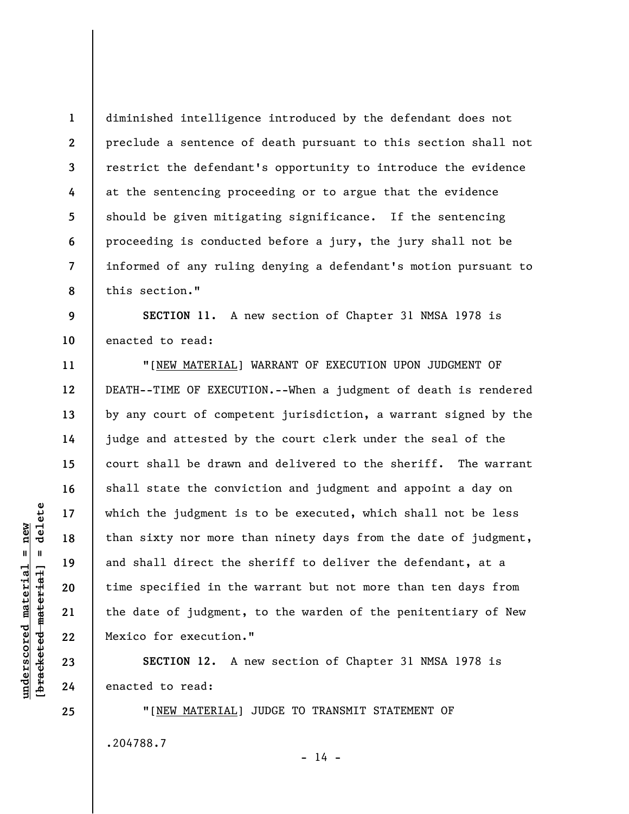**1 2 3 4 5 6 7 8**  diminished intelligence introduced by the defendant does not preclude a sentence of death pursuant to this section shall not restrict the defendant's opportunity to introduce the evidence at the sentencing proceeding or to argue that the evidence should be given mitigating significance. If the sentencing proceeding is conducted before a jury, the jury shall not be informed of any ruling denying a defendant's motion pursuant to this section."

**9 10 SECTION 11.** A new section of Chapter 31 NMSA 1978 is enacted to read:

"[NEW MATERIAL] WARRANT OF EXECUTION UPON JUDGMENT OF DEATH--TIME OF EXECUTION.--When a judgment of death is rendered by any court of competent jurisdiction, a warrant signed by the judge and attested by the court clerk under the seal of the court shall be drawn and delivered to the sheriff. The warrant shall state the conviction and judgment and appoint a day on which the judgment is to be executed, which shall not be less than sixty nor more than ninety days from the date of judgment, and shall direct the sheriff to deliver the defendant, at a time specified in the warrant but not more than ten days from the date of judgment, to the warden of the penitentiary of New Mexico for execution."

**SECTION 12.** A new section of Chapter 31 NMSA 1978 is enacted to read:

"[NEW MATERIAL] JUDGE TO TRANSMIT STATEMENT OF .204788.7

 $\frac{1}{2}$  intereted material = delete **[bracketed material] = delete**  $underscored material = new$ **underscored material = new**

**25** 

**11** 

**12** 

**13** 

**14** 

**15** 

**16** 

**17** 

**18** 

**19** 

**20** 

**21** 

**22** 

**23** 

**24** 

 $- 14 -$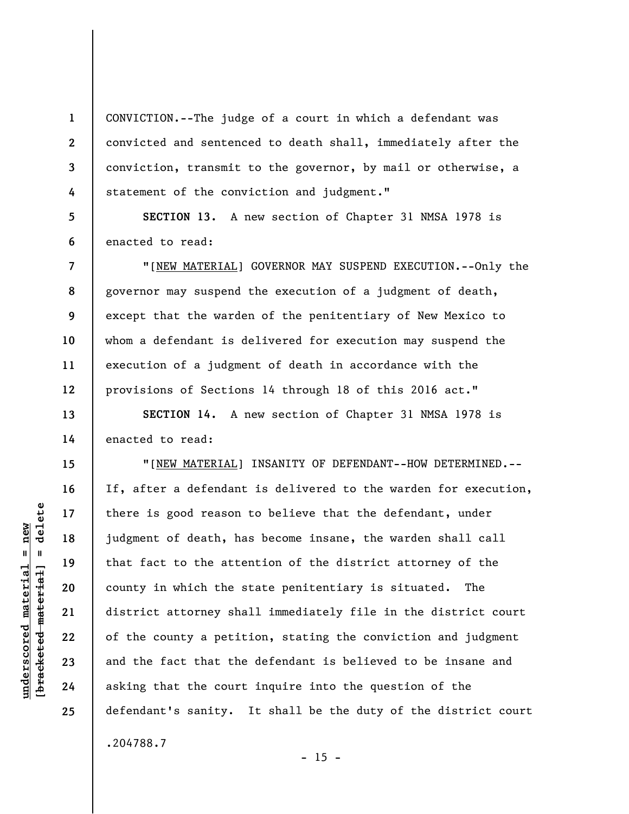CONVICTION.--The judge of a court in which a defendant was convicted and sentenced to death shall, immediately after the conviction, transmit to the governor, by mail or otherwise, a statement of the conviction and judgment."

**5 6 SECTION 13.** A new section of Chapter 31 NMSA 1978 is enacted to read:

"[NEW MATERIAL] GOVERNOR MAY SUSPEND EXECUTION.--Only the governor may suspend the execution of a judgment of death, except that the warden of the penitentiary of New Mexico to whom a defendant is delivered for execution may suspend the execution of a judgment of death in accordance with the provisions of Sections 14 through 18 of this 2016 act."

**SECTION 14.** A new section of Chapter 31 NMSA 1978 is enacted to read:

"[NEW MATERIAL] INSANITY OF DEFENDANT--HOW DETERMINED.-- If, after a defendant is delivered to the warden for execution, there is good reason to believe that the defendant, under judgment of death, has become insane, the warden shall call that fact to the attention of the district attorney of the county in which the state penitentiary is situated. The district attorney shall immediately file in the district court of the county a petition, stating the conviction and judgment and the fact that the defendant is believed to be insane and asking that the court inquire into the question of the defendant's sanity. It shall be the duty of the district court .204788.7

 $- 15 -$ 

**1** 

**2** 

**3** 

**4** 

**7** 

**8** 

**9** 

**10** 

**11** 

**12** 

**13** 

**14** 

**15** 

**16** 

**17** 

**18** 

**19** 

**20** 

**21** 

**22** 

**23** 

**24**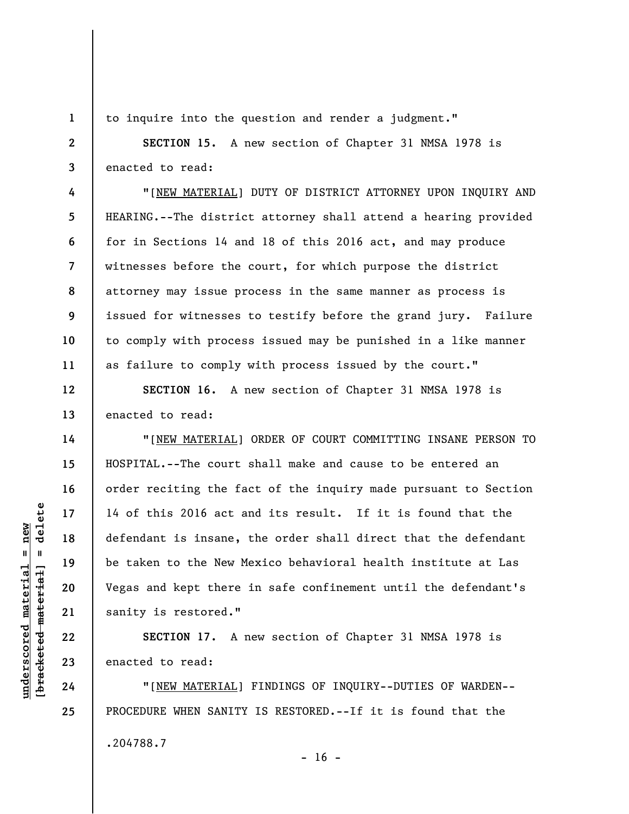**1 2** 

**3** 

**4** 

**5** 

**6** 

**7** 

**8** 

**9** 

**10** 

**11** 

**12** 

**13** 

**14** 

**15** 

**16** 

**17** 

**18** 

**19** 

**20** 

**21** 

**22** 

**23** 

**24** 

to inquire into the question and render a judgment."

**SECTION 15.** A new section of Chapter 31 NMSA 1978 is enacted to read:

"[NEW MATERIAL] DUTY OF DISTRICT ATTORNEY UPON INQUIRY AND HEARING.--The district attorney shall attend a hearing provided for in Sections 14 and 18 of this 2016 act, and may produce witnesses before the court, for which purpose the district attorney may issue process in the same manner as process is issued for witnesses to testify before the grand jury. Failure to comply with process issued may be punished in a like manner as failure to comply with process issued by the court."

**SECTION 16.** A new section of Chapter 31 NMSA 1978 is enacted to read:

"[NEW MATERIAL] ORDER OF COURT COMMITTING INSANE PERSON TO HOSPITAL.--The court shall make and cause to be entered an order reciting the fact of the inquiry made pursuant to Section 14 of this 2016 act and its result. If it is found that the defendant is insane, the order shall direct that the defendant be taken to the New Mexico behavioral health institute at Las Vegas and kept there in safe confinement until the defendant's sanity is restored."

**SECTION 17.** A new section of Chapter 31 NMSA 1978 is enacted to read:

"[NEW MATERIAL] FINDINGS OF INQUIRY--DUTIES OF WARDEN-- PROCEDURE WHEN SANITY IS RESTORED.--If it is found that the .204788.7  $- 16 -$ 

 $\frac{1}{2}$  intereted material = delete **[bracketed material] = delete**  $underscored material = new$ **underscored material = new**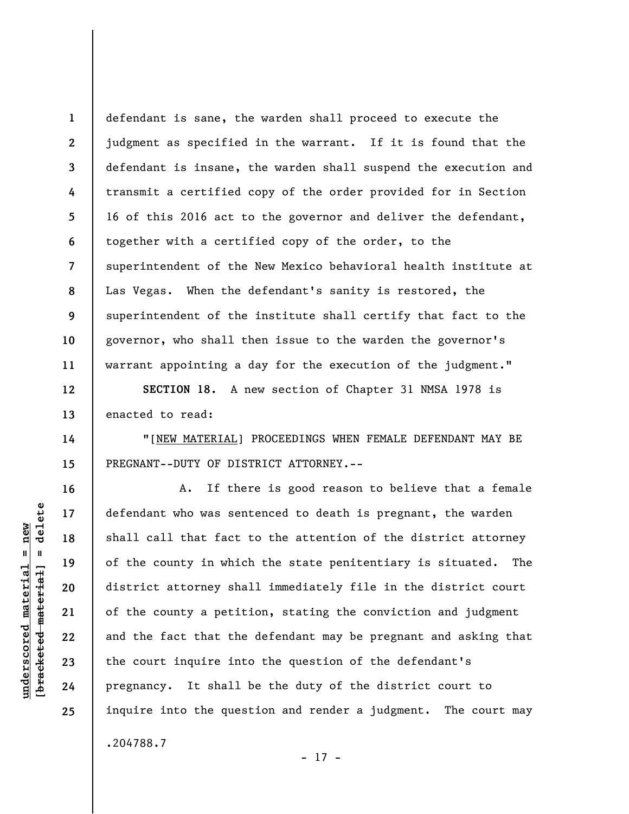**1 2 3 4 5 6 7 8 9 10 11**  defendant is sane, the warden shall proceed to execute the judgment as specified in the warrant. If it is found that the defendant is insane, the warden shall suspend the execution and transmit a certified copy of the order provided for in Section 16 of this 2016 act to the governor and deliver the defendant, together with a certified copy of the order, to the superintendent of the New Mexico behavioral health institute at Las Vegas. When the defendant's sanity is restored, the superintendent of the institute shall certify that fact to the governor, who shall then issue to the warden the governor's warrant appointing a day for the execution of the judgment."

**SECTION 18.** A new section of Chapter 31 NMSA 1978 is enacted to read:

"[NEW MATERIAL] PROCEEDINGS WHEN FEMALE DEFENDANT MAY BE PREGNANT--DUTY OF DISTRICT ATTORNEY.--

A. If there is good reason to believe that a female defendant who was sentenced to death is pregnant, the warden shall call that fact to the attention of the district attorney of the county in which the state penitentiary is situated. The district attorney shall immediately file in the district court of the county a petition, stating the conviction and judgment and the fact that the defendant may be pregnant and asking that the court inquire into the question of the defendant's pregnancy. It shall be the duty of the district court to inquire into the question and render a judgment. The court may .204788.7

- 17 -

**12** 

**13** 

**14** 

**15** 

**16** 

**17** 

**18** 

**19** 

**20** 

**21** 

**22** 

**23** 

**24**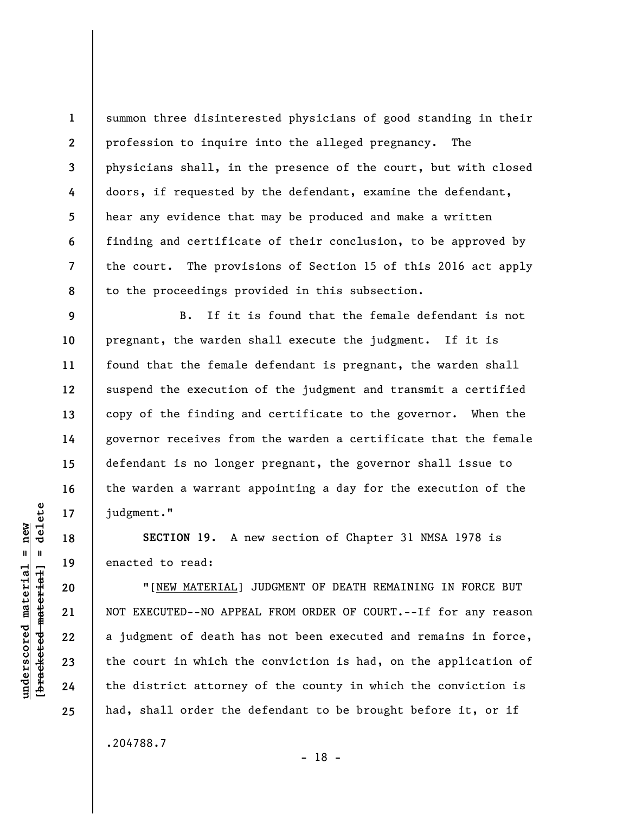**1 2 3 4 5 6 7 8**  summon three disinterested physicians of good standing in their profession to inquire into the alleged pregnancy. The physicians shall, in the presence of the court, but with closed doors, if requested by the defendant, examine the defendant, hear any evidence that may be produced and make a written finding and certificate of their conclusion, to be approved by the court. The provisions of Section 15 of this 2016 act apply to the proceedings provided in this subsection.

B. If it is found that the female defendant is not pregnant, the warden shall execute the judgment. If it is found that the female defendant is pregnant, the warden shall suspend the execution of the judgment and transmit a certified copy of the finding and certificate to the governor. When the governor receives from the warden a certificate that the female defendant is no longer pregnant, the governor shall issue to the warden a warrant appointing a day for the execution of the judgment."

**SECTION 19.** A new section of Chapter 31 NMSA 1978 is enacted to read:

"[NEW MATERIAL] JUDGMENT OF DEATH REMAINING IN FORCE BUT NOT EXECUTED--NO APPEAL FROM ORDER OF COURT.--If for any reason a judgment of death has not been executed and remains in force, the court in which the conviction is had, on the application of the district attorney of the county in which the conviction is had, shall order the defendant to be brought before it, or if

.204788.7

delete **[bracketed material] = delete**  $underscored material = new$ **underscored material = new**  $\mathbf{I}$ bracketed material

**9** 

**10** 

**11** 

**12** 

**13** 

**14** 

**15** 

**16** 

**17** 

**18** 

**19** 

**20** 

**21** 

**22** 

**23** 

**24**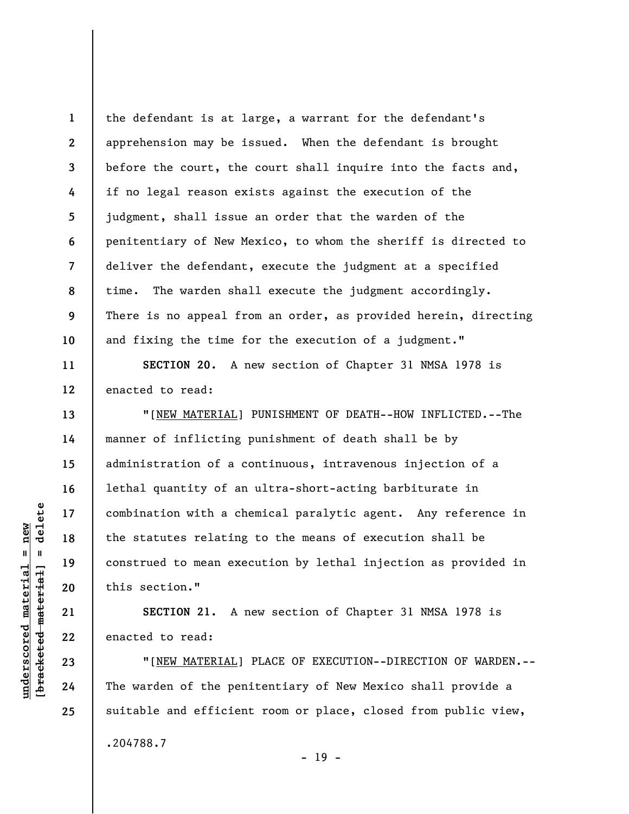**1 2 3 4 5 6 7 8 9 10**  the defendant is at large, a warrant for the defendant's apprehension may be issued. When the defendant is brought before the court, the court shall inquire into the facts and, if no legal reason exists against the execution of the judgment, shall issue an order that the warden of the penitentiary of New Mexico, to whom the sheriff is directed to deliver the defendant, execute the judgment at a specified time. The warden shall execute the judgment accordingly. There is no appeal from an order, as provided herein, directing and fixing the time for the execution of a judgment."

**SECTION 20.** A new section of Chapter 31 NMSA 1978 is enacted to read:

"[NEW MATERIAL] PUNISHMENT OF DEATH--HOW INFLICTED.--The manner of inflicting punishment of death shall be by administration of a continuous, intravenous injection of a lethal quantity of an ultra-short-acting barbiturate in combination with a chemical paralytic agent. Any reference in the statutes relating to the means of execution shall be construed to mean execution by lethal injection as provided in this section."

**SECTION 21.** A new section of Chapter 31 NMSA 1978 is enacted to read:

"[NEW MATERIAL] PLACE OF EXECUTION--DIRECTION OF WARDEN.-- The warden of the penitentiary of New Mexico shall provide a suitable and efficient room or place, closed from public view, .204788.7

- 19 -

**11** 

**12** 

**13** 

**14** 

**15** 

**16** 

**17** 

**18** 

**19** 

**20** 

**21** 

**22** 

**23** 

**24**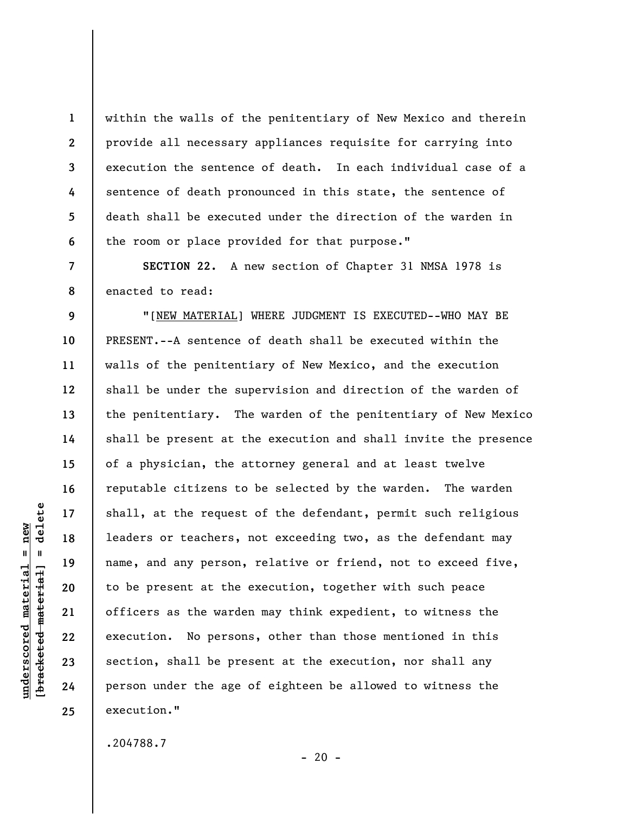within the walls of the penitentiary of New Mexico and therein provide all necessary appliances requisite for carrying into execution the sentence of death. In each individual case of a sentence of death pronounced in this state, the sentence of death shall be executed under the direction of the warden in the room or place provided for that purpose."

 **SECTION 22.** A new section of Chapter 31 NMSA 1978 is enacted to read:

"[NEW MATERIAL] WHERE JUDGMENT IS EXECUTED--WHO MAY BE PRESENT.--A sentence of death shall be executed within the walls of the penitentiary of New Mexico, and the execution shall be under the supervision and direction of the warden of the penitentiary. The warden of the penitentiary of New Mexico shall be present at the execution and shall invite the presence of a physician, the attorney general and at least twelve reputable citizens to be selected by the warden. The warden shall, at the request of the defendant, permit such religious leaders or teachers, not exceeding two, as the defendant may name, and any person, relative or friend, not to exceed five, to be present at the execution, together with such peace officers as the warden may think expedient, to witness the execution. No persons, other than those mentioned in this section, shall be present at the execution, nor shall any person under the age of eighteen be allowed to witness the execution."

.204788.7

delete **[bracketed material] = delete**  $underscored material = new$ **underscored material = new**  $\mathbf{u}$ bracketed material

**1** 

**2** 

**3** 

**4** 

**5** 

**6** 

**7** 

**8** 

**9** 

**10** 

**11** 

**12** 

**13** 

**14** 

**15** 

**16** 

**17** 

**18** 

**19** 

**20** 

**21** 

**22** 

**23** 

**24**